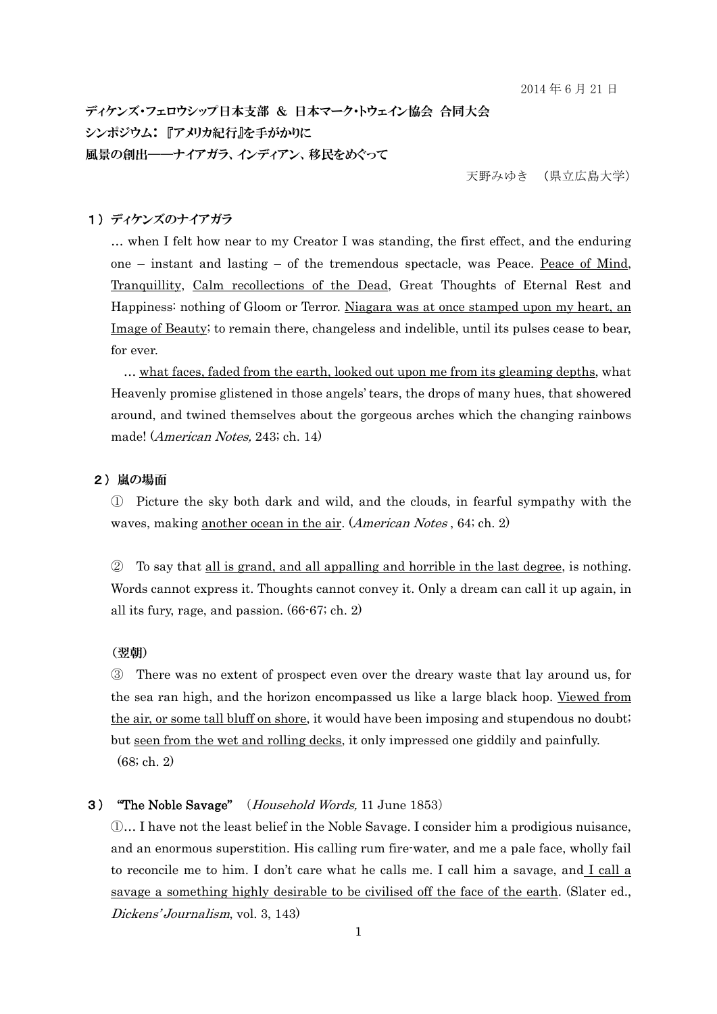ディケンズ・フェロウシップ日本支部 & 日本マーク・トウェイン協会 合同大会 シンポジウム: 『アメリカ紀行』を手がかりに 風景の創出——ナイアガラ、インディアン、移民をめぐって

天野みゆき (県立広島大学)

# 1)ディケンズのナイアガラ

… when I felt how near to my Creator I was standing, the first effect, and the enduring one – instant and lasting – of the tremendous spectacle, was Peace. Peace of Mind, Tranquillity, Calm recollections of the Dead, Great Thoughts of Eternal Rest and Happiness: nothing of Gloom or Terror. Niagara was at once stamped upon my heart, an Image of Beauty; to remain there, changeless and indelible, until its pulses cease to bear, for ever.

 … what faces, faded from the earth, looked out upon me from its gleaming depths, what Heavenly promise glistened in those angels' tears, the drops of many hues, that showered around, and twined themselves about the gorgeous arches which the changing rainbows made! (American Notes, 243; ch. 14)

#### 2) 嵐の場面

① Picture the sky both dark and wild, and the clouds, in fearful sympathy with the waves, making another ocean in the air. (*American Notes*, 64; ch. 2)

② To say that all is grand, and all appalling and horrible in the last degree, is nothing. Words cannot express it. Thoughts cannot convey it. Only a dream can call it up again, in all its fury, rage, and passion. (66-67; ch. 2)

### (翌朝)

③ There was no extent of prospect even over the dreary waste that lay around us, for the sea ran high, and the horizon encompassed us like a large black hoop. Viewed from the air, or some tall bluff on shore, it would have been imposing and stupendous no doubt; but seen from the wet and rolling decks, it only impressed one giddily and painfully. (68; ch. 2)

#### 3) "The Noble Savage" (Household Words, 11 June 1853)

①… I have not the least belief in the Noble Savage. I consider him a prodigious nuisance, and an enormous superstition. His calling rum fire-water, and me a pale face, wholly fail to reconcile me to him. I don't care what he calls me. I call him a savage, and I call a savage a something highly desirable to be civilised off the face of the earth. (Slater ed., Dickens' Journalism, vol. 3, 143)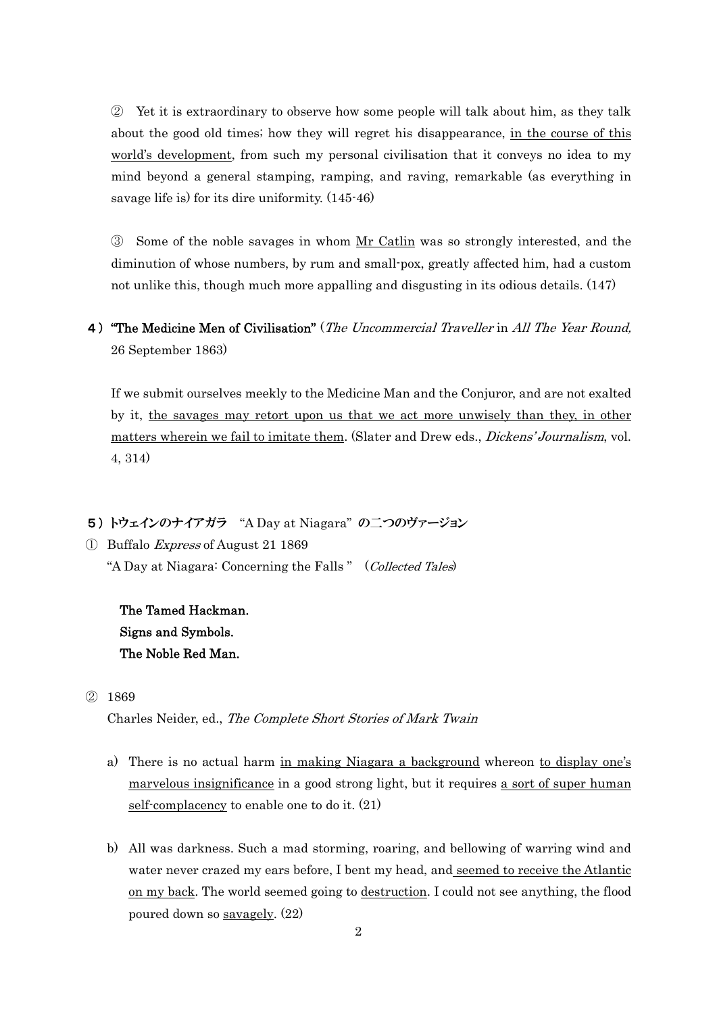② Yet it is extraordinary to observe how some people will talk about him, as they talk about the good old times; how they will regret his disappearance, in the course of this world's development, from such my personal civilisation that it conveys no idea to my mind beyond a general stamping, ramping, and raving, remarkable (as everything in savage life is) for its dire uniformity. (145-46)

③ Some of the noble savages in whom Mr Catlin was so strongly interested, and the diminution of whose numbers, by rum and small-pox, greatly affected him, had a custom not unlike this, though much more appalling and disgusting in its odious details. (147)

4) "The Medicine Men of Civilisation" (The Uncommercial Traveller in All The Year Round, 26 September 1863)

If we submit ourselves meekly to the Medicine Man and the Conjuror, and are not exalted by it, the savages may retort upon us that we act more unwisely than they, in other matters wherein we fail to imitate them. (Slater and Drew eds., Dickens' Journalism, vol. 4, 314)

5)トウェインのナイアガラ "A Day at Niagara" の二つのヴァージョン

① Buffalo Express of August 21 1869 "A Day at Niagara: Concerning the Falls" (Collected Tales)

 The Tamed Hackman. Signs and Symbols. The Noble Red Man.

② 1869

Charles Neider, ed., The Complete Short Stories of Mark Twain

- a) There is no actual harm in making Niagara a background whereon to display one's marvelous insignificance in a good strong light, but it requires a sort of super human self-complacency to enable one to do it.  $(21)$
- b) All was darkness. Such a mad storming, roaring, and bellowing of warring wind and water never crazed my ears before, I bent my head, and seemed to receive the Atlantic on my back. The world seemed going to destruction. I could not see anything, the flood poured down so savagely. (22)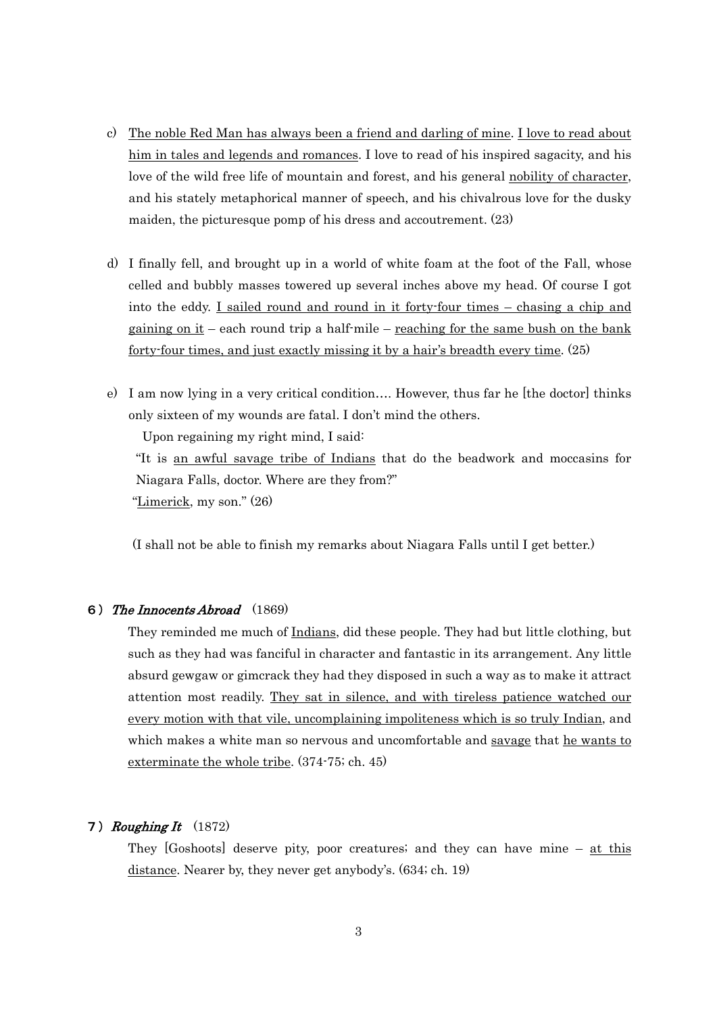- c) The noble Red Man has always been a friend and darling of mine. I love to read about him in tales and legends and romances. I love to read of his inspired sagacity, and his love of the wild free life of mountain and forest, and his general nobility of character, and his stately metaphorical manner of speech, and his chivalrous love for the dusky maiden, the picturesque pomp of his dress and accoutrement.  $(23)$
- d) I finally fell, and brought up in a world of white foam at the foot of the Fall, whose celled and bubbly masses towered up several inches above my head. Of course I got into the eddy. I sailed round and round in it forty-four times – chasing a chip and gaining on it – each round trip a half-mile – reaching for the same bush on the bank forty-four times, and just exactly missing it by a hair's breadth every time. (25)
- e) I am now lying in a very critical condition…. However, thus far he [the doctor] thinks only sixteen of my wounds are fatal. I don't mind the others.

Upon regaining my right mind, I said:

"It is an awful savage tribe of Indians that do the beadwork and moccasins for Niagara Falls, doctor. Where are they from?" "Limerick, my son." (26)

(I shall not be able to finish my remarks about Niagara Falls until I get better.)

# 6)The Innocents Abroad (1869)

They reminded me much of Indians, did these people. They had but little clothing, but such as they had was fanciful in character and fantastic in its arrangement. Any little absurd gewgaw or gimcrack they had they disposed in such a way as to make it attract attention most readily. They sat in silence, and with tireless patience watched our every motion with that vile, uncomplaining impoliteness which is so truly Indian, and which makes a white man so nervous and uncomfortable and savage that he wants to exterminate the whole tribe. (374-75; ch. 45)

# 7) Roughing It  $(1872)$

They [Goshoots] deserve pity, poor creatures; and they can have mine – at this distance. Nearer by, they never get anybody's. (634; ch. 19)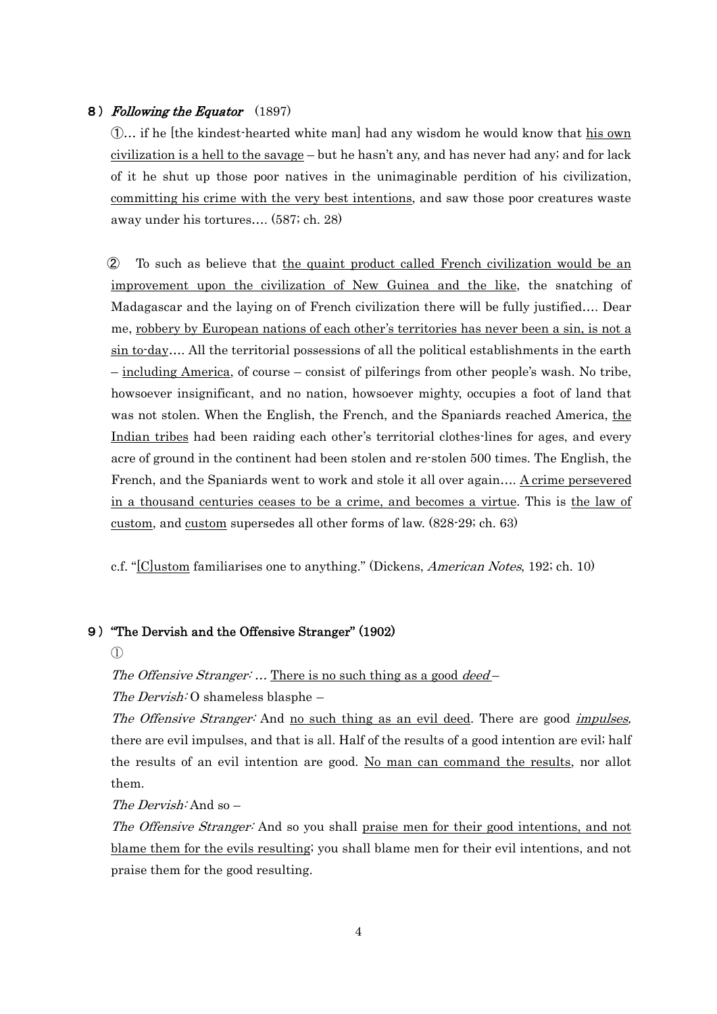### 8) Following the Equator (1897)

①… if he [the kindest-hearted white man] had any wisdom he would know that his own civilization is a hell to the savage – but he hasn't any, and has never had any; and for lack of it he shut up those poor natives in the unimaginable perdition of his civilization, committing his crime with the very best intentions, and saw those poor creatures waste away under his tortures…. (587; ch. 28)

② To such as believe that the quaint product called French civilization would be an improvement upon the civilization of New Guinea and the like, the snatching of Madagascar and the laying on of French civilization there will be fully justified…. Dear me, robbery by European nations of each other's territories has never been a sin, is not a sin to-day…. All the territorial possessions of all the political establishments in the earth – including America, of course – consist of pilferings from other people's wash. No tribe, howsoever insignificant, and no nation, howsoever mighty, occupies a foot of land that was not stolen. When the English, the French, and the Spaniards reached America, the Indian tribes had been raiding each other's territorial clothes-lines for ages, and every acre of ground in the continent had been stolen and re-stolen 500 times. The English, the French, and the Spaniards went to work and stole it all over again.... A crime persevered in a thousand centuries ceases to be a crime, and becomes a virtue. This is the law of custom, and custom supersedes all other forms of law. (828-29; ch. 63)

c.f. "[C]ustom familiarises one to anything." (Dickens, American Notes, 192; ch. 10)

#### 9)"The Dervish and the Offensive Stranger" (1902)

①

The Offensive Stranger: ... There is no such thing as a good deed –

The Dervish: O shameless blasphe –

The Offensive Stranger: And no such thing as an evil deed. There are good *impulses*, there are evil impulses, and that is all. Half of the results of a good intention are evil; half the results of an evil intention are good. No man can command the results, nor allot them.

The Dervish: And so –

The Offensive Stranger: And so you shall praise men for their good intentions, and not blame them for the evils resulting; you shall blame men for their evil intentions, and not praise them for the good resulting.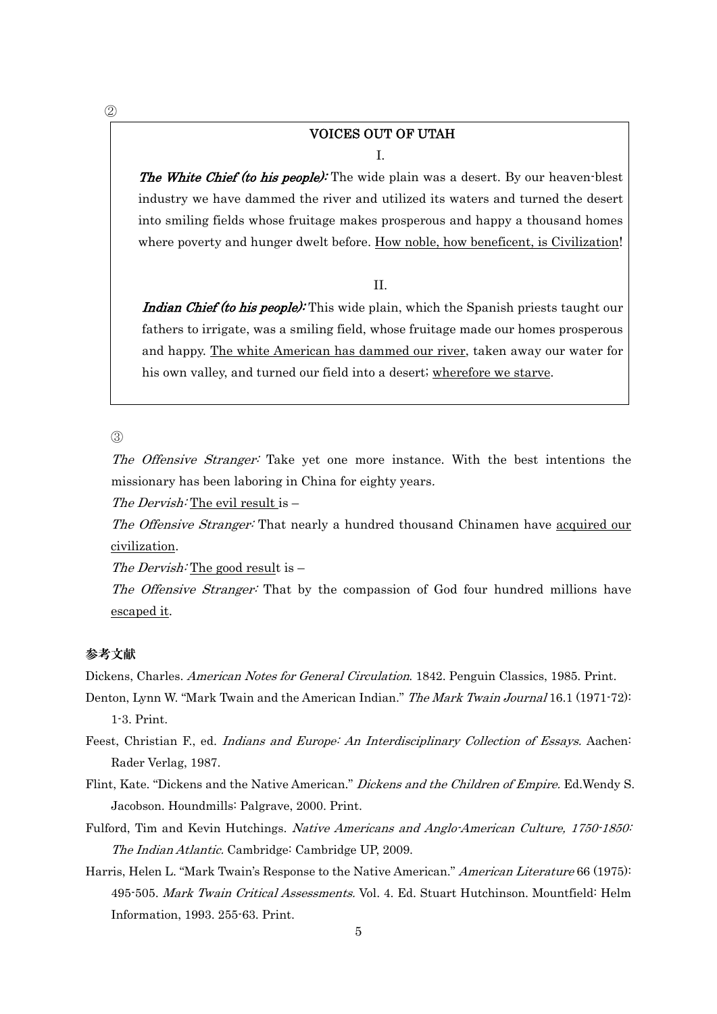# VOICES OUT OF UTAH I.

The White Chief (to his people): The wide plain was a desert. By our heaven-blest industry we have dammed the river and utilized its waters and turned the desert into smiling fields whose fruitage makes prosperous and happy a thousand homes where poverty and hunger dwelt before. How noble, how beneficent, is Civilization!

### II.

**Indian Chief (to his people):** This wide plain, which the Spanish priests taught our fathers to irrigate, was a smiling field, whose fruitage made our homes prosperous and happy. The white American has dammed our river, taken away our water for his own valley, and turned our field into a desert; wherefore we starve.

③

The Offensive Stranger: Take yet one more instance. With the best intentions the missionary has been laboring in China for eighty years.

The Dervish: The evil result is –

The Offensive Stranger: That nearly a hundred thousand Chinamen have acquired our civilization.

The Dervish: The good result is  $-$ 

The Offensive Stranger: That by the compassion of God four hundred millions have escaped it.

# 参考文献

Dickens, Charles. American Notes for General Circulation. 1842. Penguin Classics, 1985. Print.

- Denton, Lynn W. "Mark Twain and the American Indian." The Mark Twain Journal 16.1 (1971-72): 1-3. Print.
- Feest, Christian F., ed. *Indians and Europe: An Interdisciplinary Collection of Essays.* Aachen: Rader Verlag, 1987.
- Flint, Kate. "Dickens and the Native American." Dickens and the Children of Empire. Ed.Wendy S. Jacobson. Houndmills: Palgrave, 2000. Print.
- Fulford, Tim and Kevin Hutchings. Native Americans and Anglo-American Culture, 1750-1850: The Indian Atlantic. Cambridge: Cambridge UP, 2009.
- Harris, Helen L. "Mark Twain's Response to the Native American." American Literature 66 (1975): 495-505. Mark Twain Critical Assessments. Vol. 4. Ed. Stuart Hutchinson. Mountfield: Helm Information, 1993. 255-63. Print.